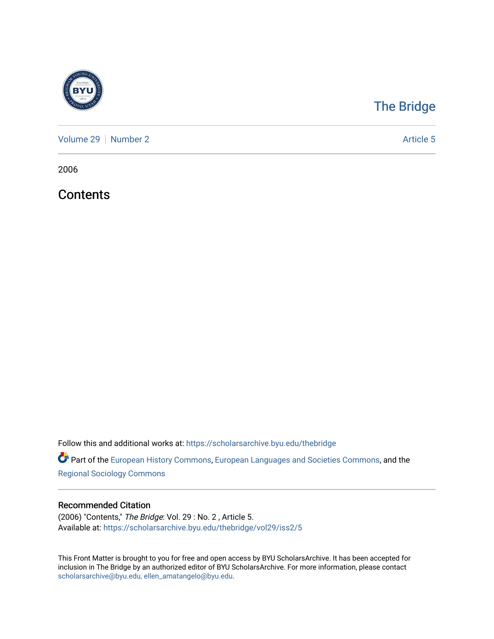

## [The Bridge](https://scholarsarchive.byu.edu/thebridge)

[Volume 29](https://scholarsarchive.byu.edu/thebridge/vol29) | [Number 2](https://scholarsarchive.byu.edu/thebridge/vol29/iss2) Article 5

2006

**Contents** 

Follow this and additional works at: [https://scholarsarchive.byu.edu/thebridge](https://scholarsarchive.byu.edu/thebridge?utm_source=scholarsarchive.byu.edu%2Fthebridge%2Fvol29%2Fiss2%2F5&utm_medium=PDF&utm_campaign=PDFCoverPages) 

**Part of the [European History Commons](http://network.bepress.com/hgg/discipline/492?utm_source=scholarsarchive.byu.edu%2Fthebridge%2Fvol29%2Fiss2%2F5&utm_medium=PDF&utm_campaign=PDFCoverPages), [European Languages and Societies Commons,](http://network.bepress.com/hgg/discipline/482?utm_source=scholarsarchive.byu.edu%2Fthebridge%2Fvol29%2Fiss2%2F5&utm_medium=PDF&utm_campaign=PDFCoverPages) and the** [Regional Sociology Commons](http://network.bepress.com/hgg/discipline/427?utm_source=scholarsarchive.byu.edu%2Fthebridge%2Fvol29%2Fiss2%2F5&utm_medium=PDF&utm_campaign=PDFCoverPages) 

### Recommended Citation

(2006) "Contents," The Bridge: Vol. 29 : No. 2 , Article 5. Available at: [https://scholarsarchive.byu.edu/thebridge/vol29/iss2/5](https://scholarsarchive.byu.edu/thebridge/vol29/iss2/5?utm_source=scholarsarchive.byu.edu%2Fthebridge%2Fvol29%2Fiss2%2F5&utm_medium=PDF&utm_campaign=PDFCoverPages) 

This Front Matter is brought to you for free and open access by BYU ScholarsArchive. It has been accepted for inclusion in The Bridge by an authorized editor of BYU ScholarsArchive. For more information, please contact [scholarsarchive@byu.edu, ellen\\_amatangelo@byu.edu](mailto:scholarsarchive@byu.edu,%20ellen_amatangelo@byu.edu).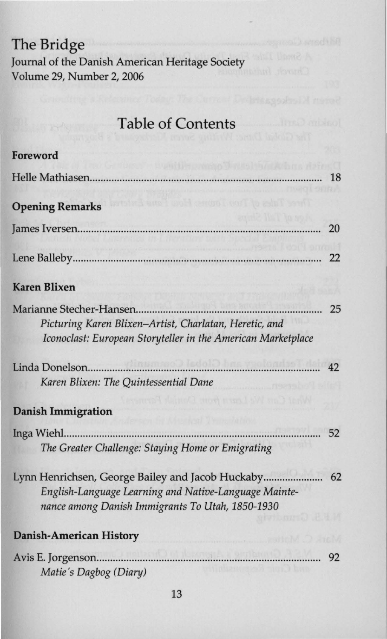# **The Bridge**

Journal of the Danish American Heritage Society Volume 29, Number 2, 2006

## **Table of Contents**

| Foreword                                                                                                                                                      |    |
|---------------------------------------------------------------------------------------------------------------------------------------------------------------|----|
|                                                                                                                                                               | 18 |
| her Tabs of Trou Tark Hotel Fans Esta<br><b>Opening Remarks</b>                                                                                               |    |
|                                                                                                                                                               | 20 |
|                                                                                                                                                               | 22 |
| <b>Karen Blixen</b>                                                                                                                                           |    |
| Picturing Karen Blixen-Artist, Charlatan, Heretic, and<br>Iconoclast: European Storyteller in the American Marketplace                                        | 25 |
| dinamas) ledok) bra vrolondsti dalo<br>Linda Donelson<br>Karen Blixen: The Quintessential Dane<br>ancol thinnd three men law sh                               | 42 |
| <b>Danish Immigration</b>                                                                                                                                     |    |
| Inga Wiehl<br>The Greater Challenge: Staying Home or Emigrating                                                                                               | 52 |
| Lynn Henrichsen, George Bailey and Jacob Huckaby<br>English-Language Learning and Native-Language Mainte-<br>nance among Danish Immigrants To Utah, 1850-1930 | 62 |
| <b>Danish-American History</b>                                                                                                                                |    |
| <b>A Publishment P.R. Strikers</b><br>Avis E. Jorgenson<br>Matie's Dagbog (Diary)                                                                             | 92 |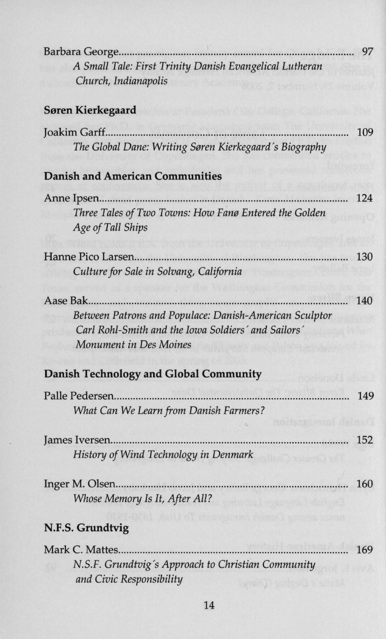| Barbara George<br>A Small Tale: First Trinity Danish Evangelical Lutheran<br>Church, Indianapolis                                            | 97  |
|----------------------------------------------------------------------------------------------------------------------------------------------|-----|
| <b>Søren Kierkegaard</b>                                                                                                                     |     |
| Joakim Garff<br>The Global Dane: Writing Søren Kierkegaard's Biography                                                                       | 109 |
| <b>Danish and American Communities</b>                                                                                                       |     |
| Anne Ipsen<br>Three Tales of Two Towns: How Fanø Entered the Golden<br>Age of Tall Ships                                                     | 124 |
| Hanne Pico Larsen<br>Culture for Sale in Solvang, California                                                                                 | 130 |
| .<br>Between Patrons and Populace: Danish-American Sculptor<br>Carl Rohl-Smith and the Iowa Soldiers' and Sailors'<br>Monument in Des Moines | 140 |
| <b>Danish Technology and Global Community</b>                                                                                                |     |
| What Can We Learn from Danish Farmers?<br>nockan mont deem                                                                                   | 149 |
| History of Wind Technology in Denmark                                                                                                        | 152 |
| Whose Memory Is It, After All?                                                                                                               | 160 |
| N.F.S. Grundtvig                                                                                                                             |     |
| Mark C. Mattes<br>N.S.F. Grundtvig's Approach to Christian Community<br>and Civic Responsibility                                             | 169 |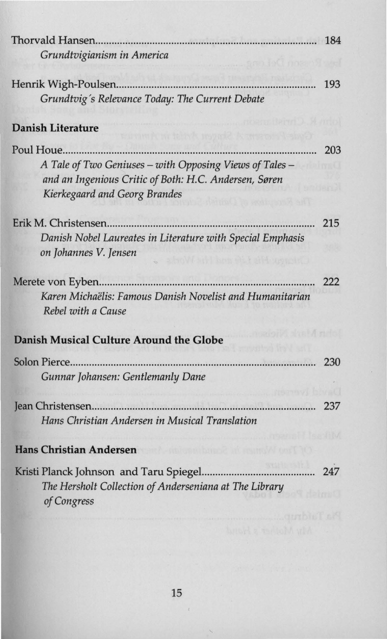| Thorvald Hansen                                                                                                                                                                         | 184 |
|-----------------------------------------------------------------------------------------------------------------------------------------------------------------------------------------|-----|
| Grundtvigianism in America                                                                                                                                                              |     |
| Henrik Wigh-Poulsen<br>Grundtvig's Relevance Today: The Current Debate                                                                                                                  | 193 |
| <b>Danish Literature</b><br>mik in trinvk mytel? A meen                                                                                                                                 |     |
| Poul Houe<br>A Tale of Two Geniuses - with Opposing Views of Tales -<br>and an Ingenious Critic of Both: H.C. Andersen, Søren<br>Kierkegaard and Georg Brandes<br>correction on 54 will | 203 |
| Erik M. Christensen<br>Danish Nobel Laureates in Literature with Special Emphasis<br>on Johannes V. Jensen                                                                              | 215 |
| Merete von Eyben<br>Karen Michaëlis: Famous Danish Novelist and Humanitarian<br>Rebel with a Cause                                                                                      | 222 |
| Danish Musical Culture Around the Globe                                                                                                                                                 |     |
| Gunnar Johansen: Gentlemanly Dane                                                                                                                                                       | 230 |
| Hans Christian Andersen in Musical Translation                                                                                                                                          | 237 |
| <b>Hans Christian Andersen</b>                                                                                                                                                          |     |
| Kristi Planck Johnson and Taru Spiegel<br>The Hersholt Collection of Anderseniana at The Library<br>of Congress                                                                         | 247 |
|                                                                                                                                                                                         |     |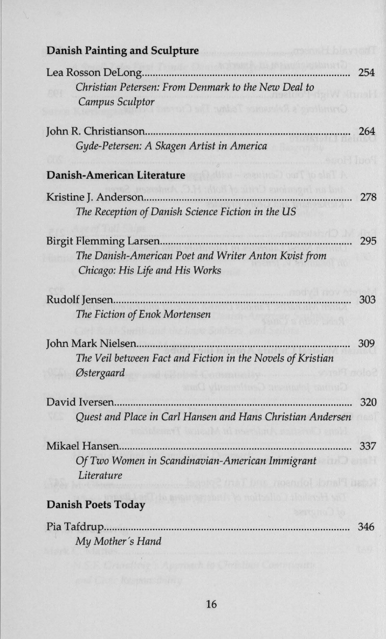### **Danish Painting and Sculpture**

| Christian Petersen: From Denmark to the New Deal to<br>Campus Sculptor<br>under Inspiration & a namibut                            |     |
|------------------------------------------------------------------------------------------------------------------------------------|-----|
| Gyde-Petersen: A Skagen Artist in America                                                                                          | 264 |
| Danish-American Literature                                                                                                         |     |
| hack, D.H.: Stoff to nurrely such substitute for last<br>Kristine J. Anderson<br>The Reception of Danish Science Fiction in the US | 278 |
| The Danish-American Poet and Writer Anton Kvist from<br>Chicago: His Life and His Works                                            | 295 |
| The Fiction of Enok Mortensen                                                                                                      | 303 |
| The Veil between Fact and Fiction in the Novels of Kristian<br>Østergaard<br>ment, where we have been what there                   | 309 |
| David Iversen<br>Quest and Place in Carl Hansen and Hans Christian Andersen                                                        | 320 |
| Mikael Hansen<br>Of Two Women in Scandinavian-American Immigrant<br>Literature<br><b>Danish Poets Today</b>                        | 337 |
| Pia Tafdrup<br>My Mother's Hand                                                                                                    | 346 |